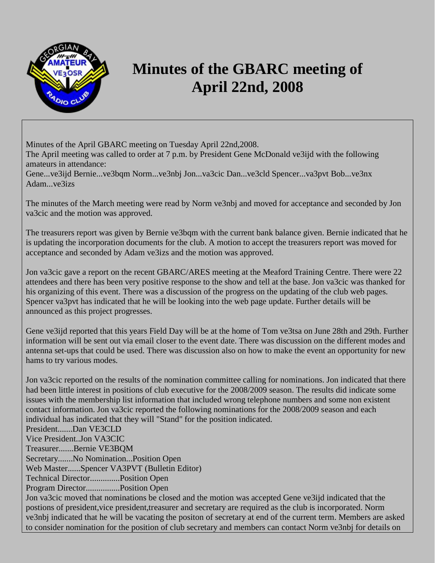

## **Minutes of the GBARC meeting of April 22nd, 2008**

Minutes of the April GBARC meeting on Tuesday April 22nd,2008.

The April meeting was called to order at 7 p.m. by President Gene McDonald ve3ijd with the following amateurs in attendance:

Gene...ve3ijd Bernie...ve3bqm Norm...ve3nbj Jon...va3cic Dan...ve3cld Spencer...va3pvt Bob...ve3nx Adam...ve3izs

The minutes of the March meeting were read by Norm ve3nbj and moved for acceptance and seconded by Jon va3cic and the motion was approved.

The treasurers report was given by Bernie ve3bqm with the current bank balance given. Bernie indicated that he is updating the incorporation documents for the club. A motion to accept the treasurers report was moved for acceptance and seconded by Adam ve3izs and the motion was approved.

Jon va3cic gave a report on the recent GBARC/ARES meeting at the Meaford Training Centre. There were 22 attendees and there has been very positive response to the show and tell at the base. Jon va3cic was thanked for his organizing of this event. There was a discussion of the progress on the updating of the club web pages. Spencer va3pvt has indicated that he will be looking into the web page update. Further details will be announced as this project progresses.

Gene ve3ijd reported that this years Field Day will be at the home of Tom ve3tsa on June 28th and 29th. Further information will be sent out via email closer to the event date. There was discussion on the different modes and antenna set-ups that could be used. There was discussion also on how to make the event an opportunity for new hams to try various modes.

Jon va3cic reported on the results of the nomination committee calling for nominations. Jon indicated that there had been little interest in positions of club executive for the 2008/2009 season. The results did indicate some issues with the membership list information that included wrong telephone numbers and some non existent contact information. Jon va3cic reported the following nominations for the 2008/2009 season and each individual has indicated that they will "Stand" for the position indicated.

President.......Dan VE3CLD

Vice President..Jon VA3CIC

Treasurer.......Bernie VE3BQM

Secretary.......No Nomination...Position Open

Web Master......Spencer VA3PVT (Bulletin Editor)

Technical Director..............Position Open

Program Director................Position Open

Jon va3cic moved that nominations be closed and the motion was accepted Gene ve3ijd indicated that the postions of president,vice president,treasurer and secretary are required as the club is incorporated. Norm ve3nbj indicated that he will be vacating the positon of secretary at end of the current term. Members are asked to consider nomination for the position of club secretary and members can contact Norm ve3nbj for details on